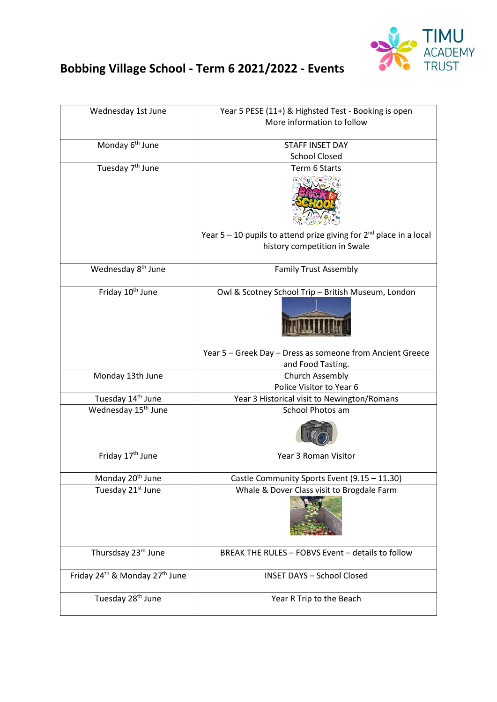

## **Bobbing Village School - Term 6 2021/2022 - Events**

| Wednesday 1st June                                     | Year 5 PESE (11+) & Highsted Test - Booking is open<br>More information to follow |
|--------------------------------------------------------|-----------------------------------------------------------------------------------|
| Monday 6 <sup>th</sup> June                            | <b>STAFF INSET DAY</b><br><b>School Closed</b>                                    |
| Tuesday 7 <sup>th</sup> June                           |                                                                                   |
|                                                        | Term 6 Starts                                                                     |
|                                                        |                                                                                   |
|                                                        |                                                                                   |
|                                                        |                                                                                   |
|                                                        |                                                                                   |
|                                                        | Year $5 - 10$ pupils to attend prize giving for $2^{nd}$ place in a local         |
|                                                        | history competition in Swale                                                      |
|                                                        |                                                                                   |
| Wednesday 8 <sup>th</sup> June                         | <b>Family Trust Assembly</b>                                                      |
|                                                        |                                                                                   |
| Friday 10 <sup>th</sup> June                           | Owl & Scotney School Trip - British Museum, London                                |
|                                                        |                                                                                   |
|                                                        |                                                                                   |
|                                                        |                                                                                   |
|                                                        |                                                                                   |
|                                                        | Year 5 - Greek Day - Dress as someone from Ancient Greece                         |
|                                                        | and Food Tasting.                                                                 |
| Monday 13th June                                       | Church Assembly                                                                   |
| Tuesday 14 <sup>th</sup> June                          | Police Visitor to Year 6                                                          |
| Wednesday 15 <sup>th</sup> June                        | Year 3 Historical visit to Newington/Romans<br><b>School Photos am</b>            |
|                                                        |                                                                                   |
|                                                        |                                                                                   |
|                                                        |                                                                                   |
| Friday 17 <sup>th</sup> June                           | Year 3 Roman Visitor                                                              |
|                                                        |                                                                                   |
| Monday 20 <sup>th</sup> June                           | Castle Community Sports Event (9.15 - 11.30)                                      |
| Tuesday 21st June                                      | Whale & Dover Class visit to Brogdale Farm                                        |
|                                                        |                                                                                   |
|                                                        |                                                                                   |
|                                                        |                                                                                   |
|                                                        |                                                                                   |
| Thursdsay 23rd June                                    | BREAK THE RULES - FOBVS Event - details to follow                                 |
|                                                        |                                                                                   |
| Friday 24 <sup>th</sup> & Monday 27 <sup>th</sup> June | <b>INSET DAYS - School Closed</b>                                                 |
|                                                        |                                                                                   |
| Tuesday 28 <sup>th</sup> June                          | Year R Trip to the Beach                                                          |
|                                                        |                                                                                   |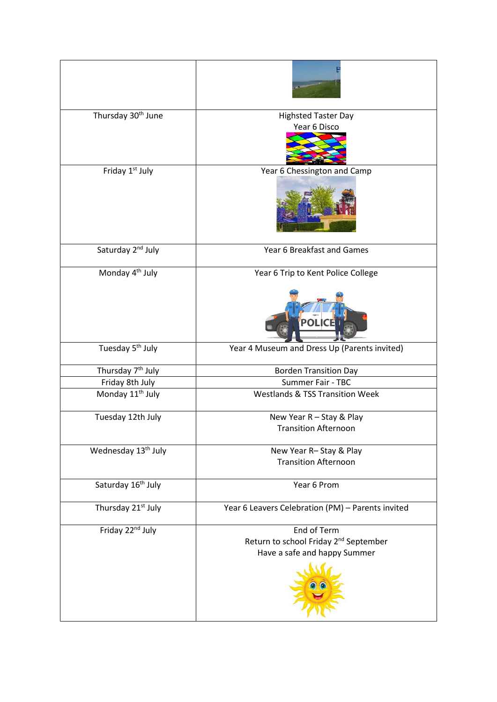| Thursday 30 <sup>th</sup> June  | <b>Highsted Taster Day</b>                              |
|---------------------------------|---------------------------------------------------------|
|                                 | Year 6 Disco                                            |
| Friday 1 <sup>st</sup> July     | Year 6 Chessington and Camp                             |
|                                 |                                                         |
| Saturday 2 <sup>nd</sup> July   | Year 6 Breakfast and Games                              |
| Monday 4 <sup>th</sup> July     | Year 6 Trip to Kent Police College                      |
|                                 | <b>POLIC</b>                                            |
| Tuesday 5 <sup>th</sup> July    | Year 4 Museum and Dress Up (Parents invited)            |
| Thursday 7 <sup>th</sup> July   | <b>Borden Transition Day</b>                            |
| Friday 8th July                 | Summer Fair - TBC                                       |
| Monday 11 <sup>th</sup> July    | <b>Westlands &amp; TSS Transition Week</b>              |
| Tuesday 12th July               | New Year R - Stay & Play<br><b>Transition Afternoon</b> |
| Wednesday 13 <sup>th</sup> July | New Year R-Stay & Play                                  |
|                                 | <b>Transition Afternoon</b>                             |
| Saturday 16 <sup>th</sup> July  | Year 6 Prom                                             |
| Thursday 21 <sup>st</sup> July  | Year 6 Leavers Celebration (PM) - Parents invited       |
| Friday 22 <sup>nd</sup> July    | End of Term                                             |
|                                 | Return to school Friday 2 <sup>nd</sup> September       |
|                                 | Have a safe and happy Summer                            |
|                                 |                                                         |